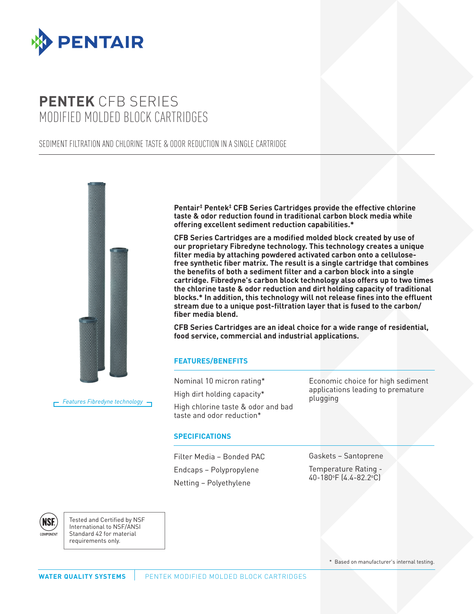

# **PENTEK** CFB SERIES MODIFIED MOLDED BLOCK CARTRIDGES

### SEDIMENT FILTRATION AND CHLORINE TASTE & ODOR REDUCTION IN A SINGLE CARTRIDGE



*Features Fibredyne technology*

**Pentair‡ Pentek‡ CFB Series Cartridges provide the effective chlorine taste & odor reduction found in traditional carbon block media while offering excellent sediment reduction capabilities.\***

**CFB Series Cartridges are a modified molded block created by use of our proprietary Fibredyne technology. This technology creates a unique filter media by attaching powdered activated carbon onto a cellulosefree synthetic fiber matrix. The result is a single cartridge that combines the benefits of both a sediment filter and a carbon block into a single cartridge. Fibredyne's carbon block technology also offers up to two times the chlorine taste & odor reduction and dirt holding capacity of traditional blocks.\* In addition, this technology will not release fines into the effluent stream due to a unique post-filtration layer that is fused to the carbon/ fiber media blend.**

**CFB Series Cartridges are an ideal choice for a wide range of residential, food service, commercial and industrial applications.**

## **FEATURES/BENEFITS**

Nominal 10 micron rating\*

High dirt holding capacity\*

High chlorine taste & odor and bad taste and odor reduction\*

#### **SPECIFICATIONS**

Filter Media – Bonded PAC Endcaps – Polypropylene Netting – Polyethylene

Economic choice for high sediment applications leading to premature plugging

Gaskets – Santoprene

Temperature Rating - 40-180°F (4.4-82.2°C)

NSF

Tested and Certified by NSF International to NSF/ANSI Standard 42 for material requirements only.

\* Based on manufacturer's internal testing.